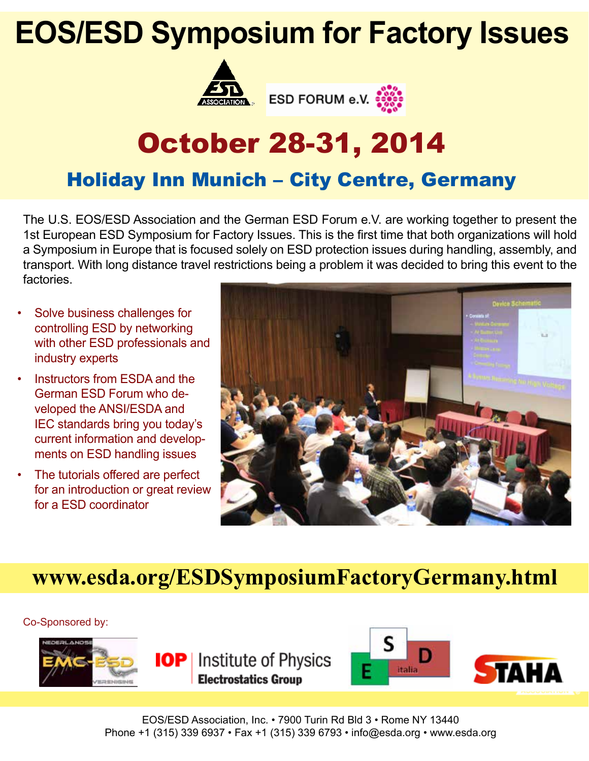# **EOS/ESD Symposium for Factory Issues**





# October 28-31, 2014

## Holiday Inn Munich – City Centre, Germany

The U.S. EOS/ESD Association and the German ESD Forum e.V. are working together to present the 1st European ESD Symposium for Factory Issues. This is the first time that both organizations will hold a Symposium in Europe that is focused solely on ESD protection issues during handling, assembly, and transport. With long distance travel restrictions being a problem it was decided to bring this event to the factories.

- Solve business challenges for controlling ESD by networking with other ESD professionals and industry experts
- Instructors from ESDA and the German ESD Forum who developed the ANSI/ESDA and IEC standards bring you today's current information and developments on ESD handling issues
- The tutorials offered are perfect for an introduction or great review for a ESD coordinator



## **www.esda.org/ESDSymposiumFactoryGermany.html**

Co-Sponsored by:







EOS/ESD Association, Inc. • 7900 Turin Rd Bld 3 • Rome NY 13440 Phone +1 (315) 339 6937 • Fax +1 (315) 339 6793 • info@esda.org • www.esda.org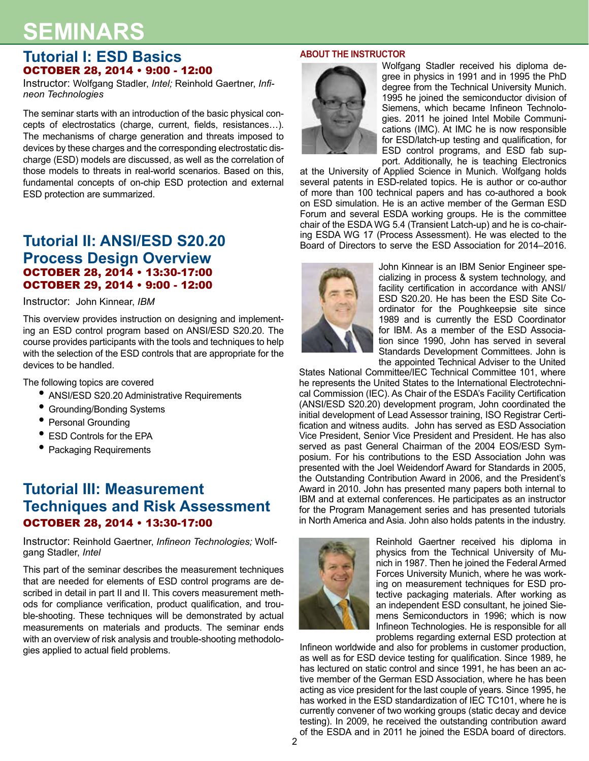## **SEMINARS**

## **Tutorial I: ESD Basics**  OCTOBER 28, 2014 • 9:00 - 12:00

Instructor: Wolfgang Stadler, *Intel;* Reinhold Gaertner, *Infineon Technologies*

The seminar starts with an introduction of the basic physical concepts of electrostatics (charge, current, fields, resistances…). The mechanisms of charge generation and threats imposed to devices by these charges and the corresponding electrostatic discharge (ESD) models are discussed, as well as the correlation of those models to threats in real-world scenarios. Based on this, fundamental concepts of on-chip ESD protection and external ESD protection are summarized.

## **Tutorial II: ANSI/ESD S20.20 Process Design Overview** OCTOBER 28, 2014 • 13:30-17:00 OCTOBER 29, 2014 • 9:00 - 12:00

Instructor: John Kinnear, *IBM*

This overview provides instruction on designing and implementing an ESD control program based on ANSI/ESD S20.20. The course provides participants with the tools and techniques to help with the selection of the ESD controls that are appropriate for the devices to be handled.

The following topics are covered

- ANSI/ESD S20.20 Administrative Requirements
- Grounding/Bonding Systems
- Personal Grounding
- ESD Controls for the EPA
- Packaging Requirements

## **Tutorial III: Measurement Techniques and Risk Assessment** OCTOBER 28, 2014 • 13:30-17:00

Instructor: Reinhold Gaertner, *Infineon Technologies;* Wolfgang Stadler, *Intel*

This part of the seminar describes the measurement techniques that are needed for elements of ESD control programs are described in detail in part II and II. This covers measurement methods for compliance verification, product qualification, and trouble-shooting. These techniques will be demonstrated by actual measurements on materials and products. The seminar ends with an overview of risk analysis and trouble-shooting methodologies applied to actual field problems.

#### **ABOUT THE INSTRUCTOR**



Wolfgang Stadler received his diploma degree in physics in 1991 and in 1995 the PhD degree from the Technical University Munich. 1995 he joined the semiconductor division of Siemens, which became Infineon Technologies. 2011 he joined Intel Mobile Communications (IMC). At IMC he is now responsible for ESD/latch-up testing and qualification, for ESD control programs, and ESD fab support. Additionally, he is teaching Electronics

at the University of Applied Science in Munich. Wolfgang holds several patents in ESD-related topics. He is author or co-author of more than 100 technical papers and has co-authored a book on ESD simulation. He is an active member of the German ESD Forum and several ESDA working groups. He is the committee chair of the ESDA WG 5.4 (Transient Latch-up) and he is co-chairing ESDA WG 17 (Process Assessment). He was elected to the Board of Directors to serve the ESD Association for 2014–2016.



John Kinnear is an IBM Senior Engineer specializing in process & system technology, and facility certification in accordance with ANSI/ ESD S20.20. He has been the ESD Site Coordinator for the Poughkeepsie site since 1989 and is currently the ESD Coordinator for IBM. As a member of the ESD Association since 1990, John has served in several Standards Development Committees. John is the appointed Technical Adviser to the United

States National Committee/IEC Technical Committee 101, where he represents the United States to the International Electrotechnical Commission (IEC). As Chair of the ESDA's Facility Certification (ANSI/ESD S20.20) development program, John coordinated the initial development of Lead Assessor training, ISO Registrar Certification and witness audits. John has served as ESD Association Vice President, Senior Vice President and President. He has also served as past General Chairman of the 2004 EOS/ESD Symposium. For his contributions to the ESD Association John was presented with the Joel Weidendorf Award for Standards in 2005, the Outstanding Contribution Award in 2006, and the President's Award in 2010. John has presented many papers both internal to IBM and at external conferences. He participates as an instructor for the Program Management series and has presented tutorials in North America and Asia. John also holds patents in the industry.



Reinhold Gaertner received his diploma in physics from the Technical University of Munich in 1987. Then he joined the Federal Armed Forces University Munich, where he was working on measurement techniques for ESD protective packaging materials. After working as an independent ESD consultant, he joined Siemens Semiconductors in 1996; which is now Infineon Technologies. He is responsible for all problems regarding external ESD protection at

Infineon worldwide and also for problems in customer production, as well as for ESD device testing for qualification. Since 1989, he has lectured on static control and since 1991, he has been an active member of the German ESD Association, where he has been acting as vice president for the last couple of years. Since 1995, he has worked in the ESD standardization of IEC TC101, where he is currently convener of two working groups (static decay and device testing). In 2009, he received the outstanding contribution award of the ESDA and in 2011 he joined the ESDA board of directors.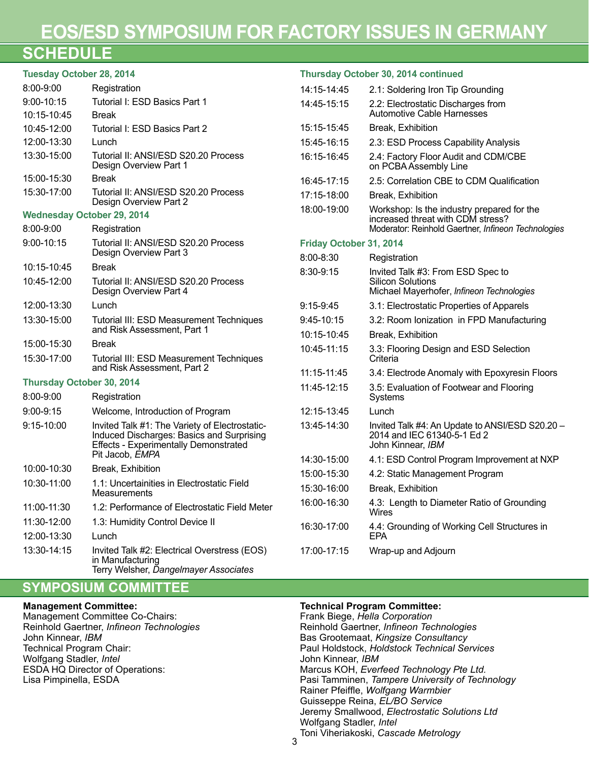## **EOS/ESD SYMPOSIUM FOR FACTORY ISSUES IN GERMANY**

## **SCHEDULE**

| <b>Tuesday October 28, 2014</b>   |                                                                                                           | Thursday October 30, 2014 continued |                                                                                 |  |  |  |  |  |  |  |  |
|-----------------------------------|-----------------------------------------------------------------------------------------------------------|-------------------------------------|---------------------------------------------------------------------------------|--|--|--|--|--|--|--|--|
| 8:00-9:00                         | Registration                                                                                              | 14:15-14:45                         | 2.1: Soldering Iron Tip Grounding                                               |  |  |  |  |  |  |  |  |
| $9:00 - 10:15$<br>10:15-10:45     | Tutorial I: ESD Basics Part 1<br><b>Break</b>                                                             | 14:45-15:15                         | 2.2: Electrostatic Discharges from<br>Automotive Cable Harnesses                |  |  |  |  |  |  |  |  |
| 10:45-12:00                       | Tutorial I: ESD Basics Part 2                                                                             | 15:15-15:45                         | Break, Exhibition                                                               |  |  |  |  |  |  |  |  |
| 12:00-13:30                       | Lunch                                                                                                     | 15:45-16:15                         | 2.3: ESD Process Capability Analysis                                            |  |  |  |  |  |  |  |  |
| 13:30-15:00                       | Tutorial II: ANSI/ESD S20.20 Process<br>Design Overview Part 1                                            | 16:15-16:45                         | 2.4: Factory Floor Audit and CDM/CBE<br>on PCBA Assembly Line                   |  |  |  |  |  |  |  |  |
| 15:00-15:30                       | <b>Break</b>                                                                                              | 16:45-17:15                         | 2.5: Correlation CBE to CDM Qualification                                       |  |  |  |  |  |  |  |  |
| 15:30-17:00                       | Tutorial II: ANSI/ESD S20.20 Process<br>Design Overview Part 2                                            | 17:15-18:00                         | Break, Exhibition                                                               |  |  |  |  |  |  |  |  |
| <b>Wednesday October 29, 2014</b> |                                                                                                           | 18:00-19:00                         | Workshop: Is the industry prepared for the<br>increased threat with CDM stress? |  |  |  |  |  |  |  |  |
| 8:00-9:00                         | Registration                                                                                              |                                     | Moderator: Reinhold Gaertner, Infineon Technologies                             |  |  |  |  |  |  |  |  |
| $9:00 - 10:15$                    | Tutorial II: ANSI/ESD S20.20 Process<br>Design Overview Part 3                                            | Friday October 31, 2014             |                                                                                 |  |  |  |  |  |  |  |  |
| 10:15-10:45                       | <b>Break</b>                                                                                              | 8:00-8:30                           | Registration                                                                    |  |  |  |  |  |  |  |  |
| 10:45-12:00                       | Tutorial II: ANSI/ESD S20.20 Process                                                                      | 8:30-9:15                           | Invited Talk #3: From ESD Spec to<br><b>Silicon Solutions</b>                   |  |  |  |  |  |  |  |  |
|                                   | Design Overview Part 4                                                                                    |                                     | Michael Mayerhofer, Infineon Technologies                                       |  |  |  |  |  |  |  |  |
| 12:00-13:30                       | Lunch                                                                                                     | $9:15-9:45$                         | 3.1: Electrostatic Properties of Apparels                                       |  |  |  |  |  |  |  |  |
| 13:30-15:00                       | Tutorial III: ESD Measurement Techniques                                                                  | 9:45-10:15                          | 3.2: Room Ionization in FPD Manufacturing                                       |  |  |  |  |  |  |  |  |
|                                   | and Risk Assessment, Part 1                                                                               | 10:15-10:45                         | Break, Exhibition                                                               |  |  |  |  |  |  |  |  |
| 15:00-15:30                       | <b>Break</b>                                                                                              | 10:45-11:15                         | 3.3: Flooring Design and ESD Selection                                          |  |  |  |  |  |  |  |  |
| 15:30-17:00                       | Tutorial III: ESD Measurement Techniques<br>and Risk Assessment, Part 2                                   |                                     | Criteria                                                                        |  |  |  |  |  |  |  |  |
| Thursday October 30, 2014         |                                                                                                           | 11:15-11:45                         | 3.4: Electrode Anomaly with Epoxyresin Floors                                   |  |  |  |  |  |  |  |  |
| 8:00-9:00                         | Registration                                                                                              | 11:45-12:15                         | 3.5: Evaluation of Footwear and Flooring<br>Systems                             |  |  |  |  |  |  |  |  |
| 9:00-9:15                         | Welcome, Introduction of Program                                                                          | 12:15-13:45                         | Lunch                                                                           |  |  |  |  |  |  |  |  |
| $9:15 - 10:00$                    | Invited Talk #1: The Variety of Electrostatic-                                                            | 13:45-14:30                         | Invited Talk #4: An Update to ANSI/ESD S20.20 -                                 |  |  |  |  |  |  |  |  |
|                                   | Induced Discharges: Basics and Surprising<br><b>Effects - Experimentally Demonstrated</b>                 |                                     | 2014 and IEC 61340-5-1 Ed 2<br>John Kinnear, IBM                                |  |  |  |  |  |  |  |  |
|                                   | Pit Jacob, EMPA                                                                                           | 14:30-15:00                         | 4.1: ESD Control Program Improvement at NXP                                     |  |  |  |  |  |  |  |  |
| 10:00-10:30                       | Break, Exhibition                                                                                         | 15:00-15:30                         | 4.2: Static Management Program                                                  |  |  |  |  |  |  |  |  |
| 10:30-11:00                       | 1.1: Uncertainities in Electrostatic Field<br>Measurements                                                | 15:30-16:00                         | Break, Exhibition                                                               |  |  |  |  |  |  |  |  |
| 11:00-11:30                       | 1.2: Performance of Electrostatic Field Meter                                                             | 16:00-16:30                         | 4.3: Length to Diameter Ratio of Grounding<br><b>Wires</b>                      |  |  |  |  |  |  |  |  |
| 11:30-12:00                       | 1.3: Humidity Control Device II                                                                           | 16:30-17:00                         | 4.4: Grounding of Working Cell Structures in                                    |  |  |  |  |  |  |  |  |
| 12:00-13:30                       | Lunch                                                                                                     |                                     | <b>EPA</b>                                                                      |  |  |  |  |  |  |  |  |
| 13:30-14:15                       | Invited Talk #2: Electrical Overstress (EOS)<br>in Manufacturing<br>Terry Welsher, Dangelmayer Associates | 17:00-17:15                         | Wrap-up and Adjourn                                                             |  |  |  |  |  |  |  |  |

## **SYMPOSIUM COMMITTEE**

#### **Management Committee:**

Management Committee Co-Chairs: Reinhold Gaertner, *Infineon Technologies* John Kinnear, *IBM* Technical Program Chair: Wolfgang Stadler, *Intel* ESDA HQ Director of Operations: Lisa Pimpinella, ESDA

#### **Technical Program Committee:**

Frank Biege, *Hella Corporation* Reinhold Gaertner, *Infineon Technologies* Bas Grootemaat, *Kingsize Consultancy* Paul Holdstock, *Holdstock Technical Services* John Kinnear, *IBM* Marcus KOH, *Everfeed Technology Pte Ltd.* Pasi Tamminen, *Tampere University of Technology* Rainer Pfeiffle, *Wolfgang Warmbier* Guisseppe Reina, *EL/BO Service* Jeremy Smallwood, *Electrostatic Solutions Ltd* Wolfgang Stadler, *Intel* Toni Viheriakoski, *Cascade Metrology*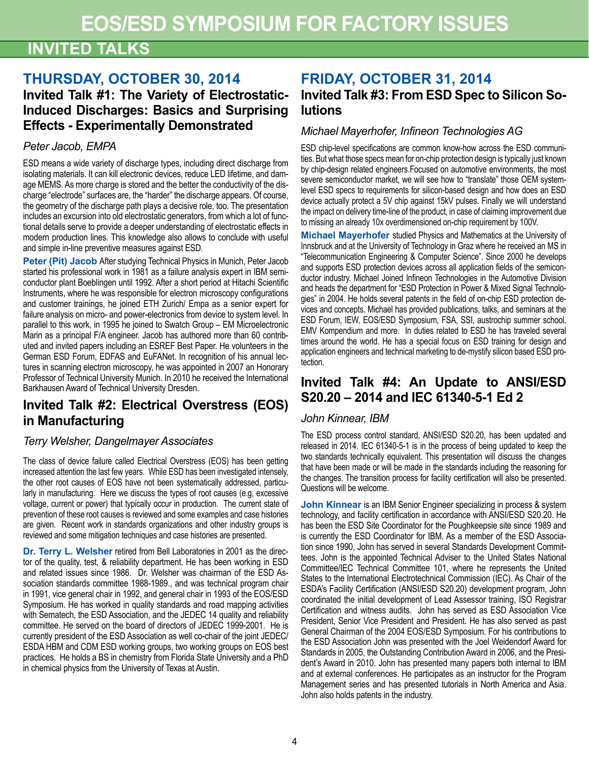## **INVITED TALKS**

## **THURSDAY, OCTOBER 30, 2014 Invited Talk #1: The Variety of Electrostatic-Induced Discharges: Basics and Surprising Effects - Experimentally Demonstrated**

## *Peter Jacob, EMPA*

ESD means a wide variety of discharge types, including direct discharge from isolating materials. It can kill electronic devices, reduce LED lifetime, and damage MEMS. As more charge is stored and the better the conductivity of the discharge "electrode" surfaces are, the "harder" the discharge appears. Of course, the geometry of the discharge path plays a decisive role, too. The presentation includes an excursion into old electrostatic generators, from which a lot of functional details serve to provide a deeper understanding of electrostatic effects in modern production lines. This knowledge also allows to conclude with useful and simple in-line preventive measures against ESD.

**Peter (Pit) Jacob** After studying Technical Physics in Munich, Peter Jacob started his professional work in 1981 as a failure analysis expert in IBM semiconductor plant Boeblingen until 1992. After a short period at Hitachi Scientific Instruments, where he was responsible for electron microscopy configurations and customer trainings, he joined ETH Zurich/ Empa as a senior expert for failure analysis on micro- and power-electronics from device to system level. In parallel to this work, in 1995 he joined to Swatch Group – EM Microelectronic Marin as a principal F/A engineer. Jacob has authored more than 60 contributed and invited papers including an ESREF Best Paper. He volunteers in the German ESD Forum, EDFAS and EuFANet. In recognition of his annual lectures in scanning electron microscopy, he was appointed in 2007 an Honorary Professor of Technical University Munich. In 2010 he received the International Barkhausen Award of Technical University Dresden.

## **Invited Talk #2: Electrical Overstress (EOS) in Manufacturing**

### *Terry Welsher, Dangelmayer Associates*

The class of device failure called Electrical Overstress (EOS) has been getting increased attention the last few years. While ESD has been investigated intensely, the other root causes of EOS have not been systematically addressed, particularly in manufacturing. Here we discuss the types of root causes (e.g, excessive voltage, current or power) that typically occur in production. The current state of prevention of these root causes is reviewed and some examples and case histories are given. Recent work in standards organizations and other industry groups is reviewed and some mitigation techniques and case histories are presented.

**Dr. Terry L. Welsher** retired from Bell Laboratories in 2001 as the director of the quality, test, & reliability department. He has been working in ESD and related issues since 1986. Dr. Welsher was chairman of the ESD Association standards committee 1988-1989., and was technical program chair in 1991, vice general chair in 1992, and general chair in 1993 of the EOS/ESD Symposium. He has worked in quality standards and road mapping activities with Sematech, the ESD Association, and the JEDEC 14 quality and reliability committee. He served on the board of directors of JEDEC 1999-2001. He is currently president of the ESD Association as well co-chair of the joint JEDEC/ ESDA HBM and CDM ESD working groups, two working groups on EOS best practices. He holds a BS in chemistry from Florida State University and a PhD in chemical physics from the University of Texas at Austin.

## **FRIDAY, OCTOBER 31, 2014 Invited Talk #3: From ESD Spec to Silicon Solutions**

### *Michael Mayerhofer, Infineon Technologies AG*

ESD chip-level specifications are common know-how across the ESD communities. But what those specs mean for on-chip protection design is typically just known by chip-design related engineers.Focused on automotive environments, the most severe semiconductor market, we will see how to "translate" those OEM systemlevel ESD specs to requirements for silicon-based design and how does an ESD device actually protect a 5V chip against 15kV pulses. Finally we will understand the impact on delivery time-line of the product, in case of claiming improvement due to missing an already 10x overdimensioned on-chip requirement by 100V.

**Michael Mayerhofer** studied Physics and Mathematics at the University of Innsbruck and at the University of Technology in Graz where he received an MS in "Telecommunication Engineering & Computer Science". Since 2000 he develops and supports ESD protection devices across all application fields of the semiconductor industry. Michael Joined Infineon Technologies in the Automotive Division and heads the department for "ESD Protection in Power & Mixed Signal Technologies" in 2004. He holds several patents in the field of on-chip ESD protection devices and concepts. Michael has provided publications, talks, and seminars at the ESD Forum, IEW, EOS/ESD Symposium, FSA, SSI, austrochip summer school, EMV Kompendium and more. In duties related to ESD he has traveled several times around the world. He has a special focus on ESD training for design and application engineers and technical marketing to de-mystify silicon based ESD protection.

## **Invited Talk #4: An Update to ANSI/ESD S20.20 – 2014 and IEC 61340-5-1 Ed 2**

### *John Kinnear, IBM*

The ESD process control standard, ANSI/ESD S20.20, has been updated and released in 2014. IEC 61340-5-1 is in the process of being updated to keep the two standards technically equivalent. This presentation will discuss the changes that have been made or will be made in the standards including the reasoning for the changes. The transition process for facility certification will also be presented. Questions will be welcome.

**John Kinnear** is an IBM Senior Engineer specializing in process & system technology, and facility certification in accordance with ANSI/ESD S20.20. He has been the ESD Site Coordinator for the Poughkeepsie site since 1989 and is currently the ESD Coordinator for IBM. As a member of the ESD Association since 1990, John has served in several Standards Development Committees. John is the appointed Technical Adviser to the United States National Committee/IEC Technical Committee 101, where he represents the United States to the International Electrotechnical Commission (IEC). As Chair of the ESDA's Facility Certification (ANSI/ESD S20.20) development program, John coordinated the initial development of Lead Assessor training, ISO Registrar Certification and witness audits. John has served as ESD Association Vice President, Senior Vice President and President. He has also served as past General Chairman of the 2004 EOS/ESD Symposium. For his contributions to the ESD Association John was presented with the Joel Weidendorf Award for Standards in 2005, the Outstanding Contribution Award in 2006, and the President's Award in 2010. John has presented many papers both internal to IBM and at external conferences. He participates as an instructor for the Program Management series and has presented tutorials in North America and Asia. John also holds patents in the industry.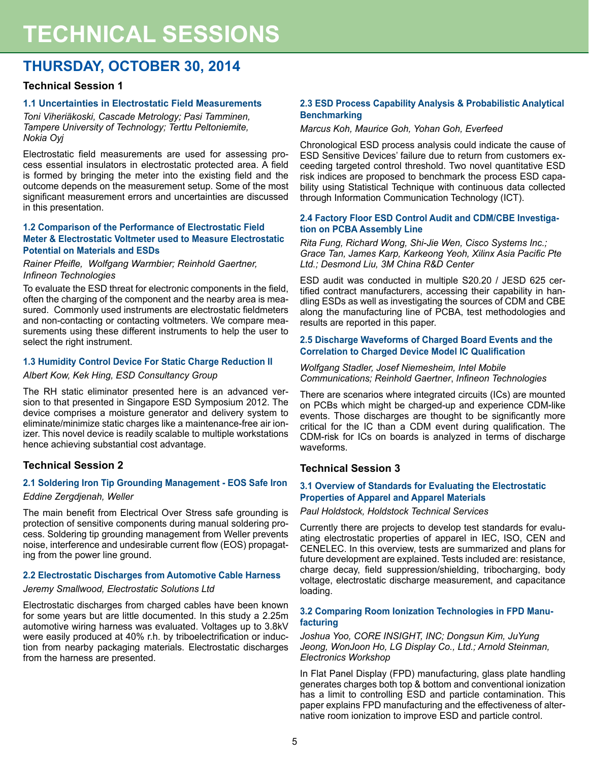# **TECHNICAL SESSIONS**

## **THURSDAY, OCTOBER 30, 2014**

#### **Technical Session 1**

#### **1.1 Uncertainties in Electrostatic Field Measurements**

*Toni Viheriäkoski, Cascade Metrology; Pasi Tamminen, Tampere University of Technology; Terttu Peltoniemite, Nokia Oyj*

Electrostatic field measurements are used for assessing process essential insulators in electrostatic protected area. A field is formed by bringing the meter into the existing field and the outcome depends on the measurement setup. Some of the most significant measurement errors and uncertainties are discussed in this presentation.

#### **1.2 Comparison of the Performance of Electrostatic Field Meter & Electrostatic Voltmeter used to Measure Electrostatic Potential on Materials and ESDs**

#### *Rainer Pfeifle, Wolfgang Warmbier; Reinhold Gaertner, Infineon Technologies*

To evaluate the ESD threat for electronic components in the field, often the charging of the component and the nearby area is measured. Commonly used instruments are electrostatic fieldmeters and non-contacting or contacting voltmeters. We compare measurements using these different instruments to help the user to select the right instrument.

#### **1.3 Humidity Control Device For Static Charge Reduction II**

#### *Albert Kow, Kek Hing, ESD Consultancy Group*

The RH static eliminator presented here is an advanced version to that presented in Singapore ESD Symposium 2012. The device comprises a moisture generator and delivery system to eliminate/minimize static charges like a maintenance-free air ionizer. This novel device is readily scalable to multiple workstations hence achieving substantial cost advantage.

#### **Technical Session 2**

#### **2.1 Soldering Iron Tip Grounding Management - EOS Safe Iron**

#### *Eddine Zergdjenah, Weller*

The main benefit from Electrical Over Stress safe grounding is protection of sensitive components during manual soldering process. Soldering tip grounding management from Weller prevents noise, interference and undesirable current flow (EOS) propagating from the power line ground.

#### **2.2 Electrostatic Discharges from Automotive Cable Harness**

#### *Jeremy Smallwood, Electrostatic Solutions Ltd*

Electrostatic discharges from charged cables have been known for some years but are little documented. In this study a 2.25m automotive wiring harness was evaluated. Voltages up to 3.8kV were easily produced at 40% r.h. by triboelectrification or induction from nearby packaging materials. Electrostatic discharges from the harness are presented.

#### **2.3 ESD Process Capability Analysis & Probabilistic Analytical Benchmarking**

#### *Marcus Koh, Maurice Goh, Yohan Goh, Everfeed*

Chronological ESD process analysis could indicate the cause of ESD Sensitive Devices' failure due to return from customers exceeding targeted control threshold. Two novel quantitative ESD risk indices are proposed to benchmark the process ESD capability using Statistical Technique with continuous data collected through Information Communication Technology (ICT).

#### **2.4 Factory Floor ESD Control Audit and CDM/CBE Investigation on PCBA Assembly Line**

*Rita Fung, Richard Wong, Shi-Jie Wen, Cisco Systems Inc.; Grace Tan, James Karp, Karkeong Yeoh, Xilinx Asia Pacific Pte Ltd.; Desmond Liu, 3M China R&D Center*

ESD audit was conducted in multiple S20.20 / JESD 625 certified contract manufacturers, accessing their capability in handling ESDs as well as investigating the sources of CDM and CBE along the manufacturing line of PCBA, test methodologies and results are reported in this paper.

#### **2.5 Discharge Waveforms of Charged Board Events and the Correlation to Charged Device Model IC Qualification**

#### *Wolfgang Stadler, Josef Niemesheim, Intel Mobile Communications; Reinhold Gaertner*, *Infineon Technologies*

There are scenarios where integrated circuits (ICs) are mounted on PCBs which might be charged-up and experience CDM-like events. Those discharges are thought to be significantly more critical for the IC than a CDM event during qualification. The CDM-risk for ICs on boards is analyzed in terms of discharge waveforms.

#### **Technical Session 3**

#### **3.1 Overview of Standards for Evaluating the Electrostatic Properties of Apparel and Apparel Materials**

*Paul Holdstock, Holdstock Technical Services*

Currently there are projects to develop test standards for evaluating electrostatic properties of apparel in IEC, ISO, CEN and CENELEC. In this overview, tests are summarized and plans for future development are explained. Tests included are: resistance, charge decay, field suppression/shielding, tribocharging, body voltage, electrostatic discharge measurement, and capacitance loading.

#### **3.2 Comparing Room Ionization Technologies in FPD Manufacturing**

*Joshua Yoo, CORE INSIGHT, INC; Dongsun Kim, JuYung Jeong, WonJoon Ho, LG Display Co., Ltd.; Arnold Steinman, Electronics Workshop*

In Flat Panel Display (FPD) manufacturing, glass plate handling generates charges both top & bottom and conventional ionization has a limit to controlling ESD and particle contamination. This paper explains FPD manufacturing and the effectiveness of alternative room ionization to improve ESD and particle control.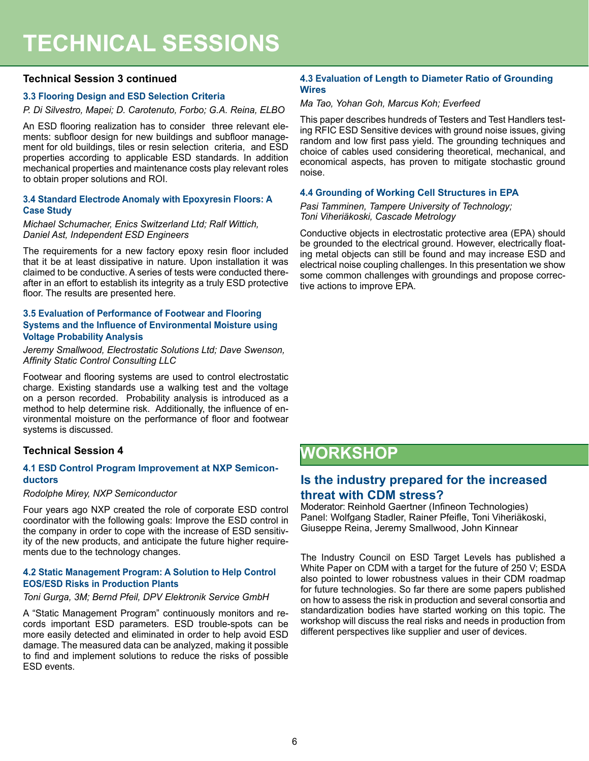#### **Technical Session 3 continued**

#### **3.3 Flooring Design and ESD Selection Criteria**

*P. Di Silvestro, Mapei; D. Carotenuto, Forbo; G.A. Reina, ELBO*

An ESD flooring realization has to consider three relevant elements: subfloor design for new buildings and subfloor management for old buildings, tiles or resin selection criteria, and ESD properties according to applicable ESD standards. In addition mechanical properties and maintenance costs play relevant roles to obtain proper solutions and ROI.

#### **3.4 Standard Electrode Anomaly with Epoxyresin Floors: A Case Study**

#### *Michael Schumacher, Enics Switzerland Ltd; Ralf Wittich, Daniel Ast, Independent ESD Engineers*

The requirements for a new factory epoxy resin floor included that it be at least dissipative in nature. Upon installation it was claimed to be conductive. A series of tests were conducted thereafter in an effort to establish its integrity as a truly ESD protective floor. The results are presented here.

#### **3.5 Evaluation of Performance of Footwear and Flooring Systems and the Influence of Environmental Moisture using Voltage Probability Analysis**

*Jeremy Smallwood, Electrostatic Solutions Ltd; Dave Swenson, Affinity Static Control Consulting LLC*

Footwear and flooring systems are used to control electrostatic charge. Existing standards use a walking test and the voltage on a person recorded. Probability analysis is introduced as a method to help determine risk. Additionally, the influence of environmental moisture on the performance of floor and footwear systems is discussed.

#### **Technical Session 4**

#### **4.1 ESD Control Program Improvement at NXP Semiconductors**

#### *Rodolphe Mirey, NXP Semiconductor*

Four years ago NXP created the role of corporate ESD control coordinator with the following goals: Improve the ESD control in the company in order to cope with the increase of ESD sensitivity of the new products, and anticipate the future higher requirements due to the technology changes.

#### **4.2 Static Management Program: A Solution to Help Control EOS/ESD Risks in Production Plants**

#### *Toni Gurga, 3M; Bernd Pfeil, DPV Elektronik Service GmbH*

A "Static Management Program" continuously monitors and records important ESD parameters. ESD trouble-spots can be more easily detected and eliminated in order to help avoid ESD damage. The measured data can be analyzed, making it possible to find and implement solutions to reduce the risks of possible ESD events.

#### **4.3 Evaluation of Length to Diameter Ratio of Grounding Wires**

#### *Ma Tao, Yohan Goh, Marcus Koh; Everfeed*

This paper describes hundreds of Testers and Test Handlers testing RFIC ESD Sensitive devices with ground noise issues, giving random and low first pass yield. The grounding techniques and choice of cables used considering theoretical, mechanical, and economical aspects, has proven to mitigate stochastic ground noise.

#### **4.4 Grounding of Working Cell Structures in EPA**

*Pasi Tamminen, Tampere University of Technology; Toni Viheriäkoski, Cascade Metrology*

Conductive objects in electrostatic protective area (EPA) should be grounded to the electrical ground. However, electrically floating metal objects can still be found and may increase ESD and electrical noise coupling challenges. In this presentation we show some common challenges with groundings and propose corrective actions to improve EPA.

## **WORKSHOP**

### **Is the industry prepared for the increased threat with CDM stress?**

Moderator: Reinhold Gaertner (Infineon Technologies) Panel: Wolfgang Stadler, Rainer Pfeifle, Toni Viheriäkoski, Giuseppe Reina, Jeremy Smallwood, John Kinnear

The Industry Council on ESD Target Levels has published a White Paper on CDM with a target for the future of 250 V; ESDA also pointed to lower robustness values in their CDM roadmap for future technologies. So far there are some papers published on how to assess the risk in production and several consortia and standardization bodies have started working on this topic. The workshop will discuss the real risks and needs in production from different perspectives like supplier and user of devices.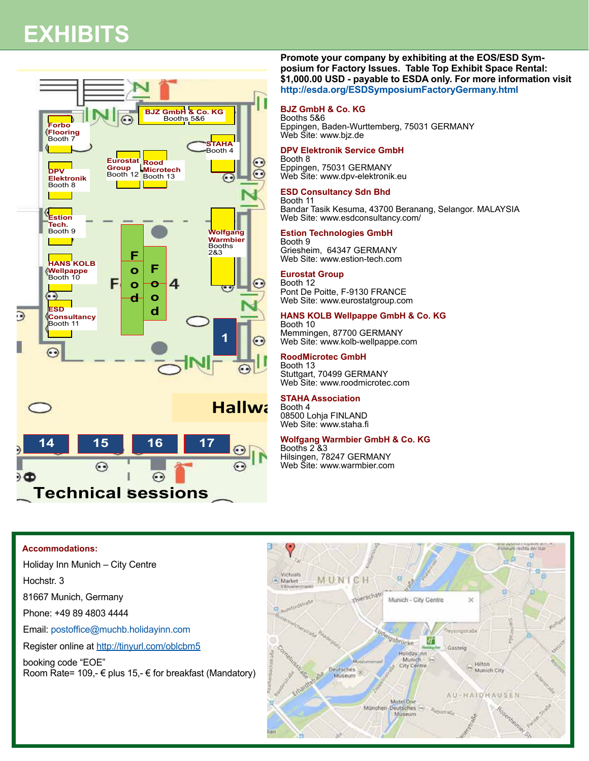# **EXHIBITS**





#### **Promote your company by exhibiting at the EOS/ESD Sym-**<br> **Promote your company by exhibiting at the EOS/ESD Symposium for Factory Issues. Table Top Exhibit Space Rental: \$1,000.00 USD - payable to ESDA only. For more information visit http://esda.org/ESDSymposiumFactoryGermany.html**

#### **BJZ GmbH & Co. KG**

Booths 5&6 Eppingen, Baden-Wurttemberg, 75031 GERMANY Web Site: www.bjz.de

#### **DPV Elektronik Service GmbH**

Booth 8 Eppingen, 75031 GERMANY Web Site: www.dpv-elektronik.eu E GmbH<br>AANY Holiday Inn Munich-City Center Munich-City Center Munich-City Center Munich Center Munich Center Munich Center Munich Center Munich Center Munich Center Munich Center Munich Center Munich Center Munich Center Munich Center

#### **ESD Consultancy Sdn Bhd**

Booth 11 **ESD Consuitancy Sɑn Bnɑ**<br>Booth 11<br>Bandar Tasik Kesuma, 43700 Beranang, Selangor. MALAYSIA Web Site: www.esdconsultancy.com/<br>
Setion Technologies GmbH

#### **Estion Technologies GmbH**

Booth 9 Griesheim, 64347 GERMANY Web Site: www.estion-tech.com

#### **Eurostat Group**

Booth 12 Pont De Poitte, F-9130 FRANCE Web Site: www.eurostatgroup.com

#### **HANS KOLB Wellpappe GmbH & Co. KG**

Booth 10 Memmingen, 87700 GERMANY Web Site: www.kolb-wellpappe.com

#### **RoodMicrotec GmbH**

Booth 13 Stuttgart, 70499 GERMANY Web Site: www.roodmicrotec.com

#### **STAHA Association**

Booth 4 08500 Lohja FINLAND Web Site: www.staha.fi

## **Wolfgang Warmbier GmbH & Co. KG**  $H R C_0 K G$  $\frac{1}{1}$

Booths 2 &3 Hilsingen, 78247 GERMANY Web Site: www.warmbier.com

#### **Accommodations:**

Holiday Inn Munich – City Centre

Hochstr. 3

81667 Munich, Germany

Phone: +49 89 4803 4444

Email: postoffice@muchb.holidayinn.com

Register online at http://tinyurl.com/oblcbm5

booking code "EOE" Room Rate= 109,-  $\epsilon$  plus 15,-  $\epsilon$  for breakfast (Mandatory)